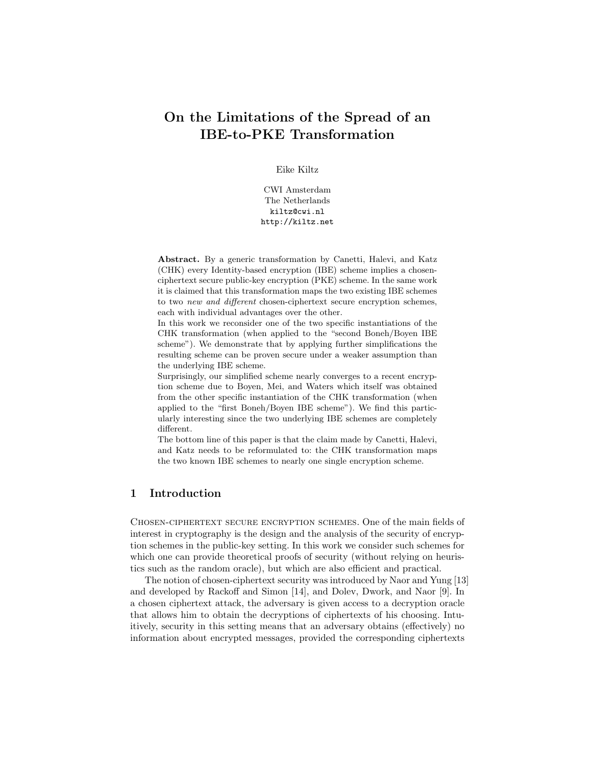# On the Limitations of the Spread of an IBE-to-PKE Transformation

Eike Kiltz

CWI Amsterdam The Netherlands kiltz@cwi.nl http://kiltz.net

Abstract. By a generic transformation by Canetti, Halevi, and Katz (CHK) every Identity-based encryption (IBE) scheme implies a chosenciphertext secure public-key encryption (PKE) scheme. In the same work it is claimed that this transformation maps the two existing IBE schemes to two new and different chosen-ciphertext secure encryption schemes, each with individual advantages over the other.

In this work we reconsider one of the two specific instantiations of the CHK transformation (when applied to the "second Boneh/Boyen IBE scheme"). We demonstrate that by applying further simplifications the resulting scheme can be proven secure under a weaker assumption than the underlying IBE scheme.

Surprisingly, our simplified scheme nearly converges to a recent encryption scheme due to Boyen, Mei, and Waters which itself was obtained from the other specific instantiation of the CHK transformation (when applied to the "first Boneh/Boyen IBE scheme"). We find this particularly interesting since the two underlying IBE schemes are completely different.

The bottom line of this paper is that the claim made by Canetti, Halevi, and Katz needs to be reformulated to: the CHK transformation maps the two known IBE schemes to nearly one single encryption scheme.

# 1 Introduction

Chosen-ciphertext secure encryption schemes. One of the main fields of interest in cryptography is the design and the analysis of the security of encryption schemes in the public-key setting. In this work we consider such schemes for which one can provide theoretical proofs of security (without relying on heuristics such as the random oracle), but which are also efficient and practical.

The notion of chosen-ciphertext security was introduced by Naor and Yung [13] and developed by Rackoff and Simon [14], and Dolev, Dwork, and Naor [9]. In a chosen ciphertext attack, the adversary is given access to a decryption oracle that allows him to obtain the decryptions of ciphertexts of his choosing. Intuitively, security in this setting means that an adversary obtains (effectively) no information about encrypted messages, provided the corresponding ciphertexts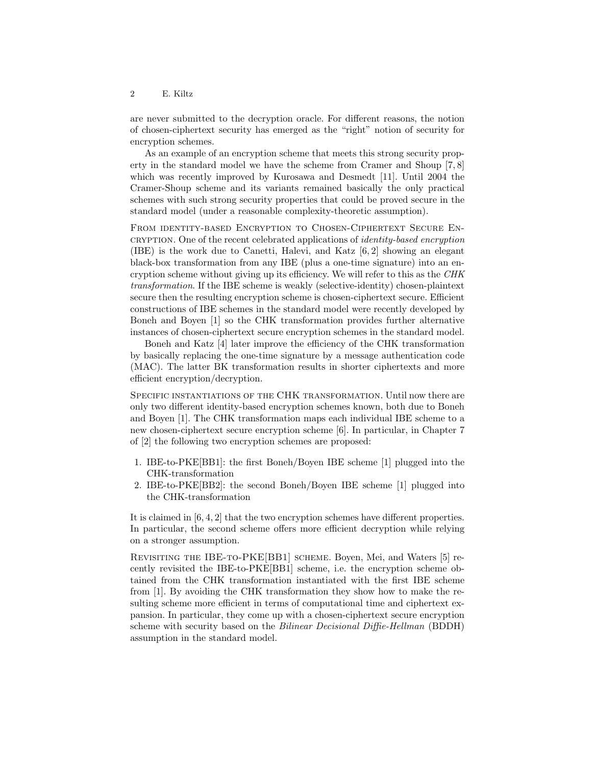are never submitted to the decryption oracle. For different reasons, the notion of chosen-ciphertext security has emerged as the "right" notion of security for encryption schemes.

As an example of an encryption scheme that meets this strong security property in the standard model we have the scheme from Cramer and Shoup [7, 8] which was recently improved by Kurosawa and Desmedt [11]. Until 2004 the Cramer-Shoup scheme and its variants remained basically the only practical schemes with such strong security properties that could be proved secure in the standard model (under a reasonable complexity-theoretic assumption).

From identity-based Encryption to Chosen-Ciphertext Secure Encryption. One of the recent celebrated applications of identity-based encryption (IBE) is the work due to Canetti, Halevi, and Katz [6, 2] showing an elegant black-box transformation from any IBE (plus a one-time signature) into an encryption scheme without giving up its efficiency. We will refer to this as the CHK transformation. If the IBE scheme is weakly (selective-identity) chosen-plaintext secure then the resulting encryption scheme is chosen-ciphertext secure. Efficient constructions of IBE schemes in the standard model were recently developed by Boneh and Boyen [1] so the CHK transformation provides further alternative instances of chosen-ciphertext secure encryption schemes in the standard model.

Boneh and Katz [4] later improve the efficiency of the CHK transformation by basically replacing the one-time signature by a message authentication code (MAC). The latter BK transformation results in shorter ciphertexts and more efficient encryption/decryption.

Specific instantiations of the CHK transformation. Until now there are only two different identity-based encryption schemes known, both due to Boneh and Boyen [1]. The CHK transformation maps each individual IBE scheme to a new chosen-ciphertext secure encryption scheme [6]. In particular, in Chapter 7 of [2] the following two encryption schemes are proposed:

- 1. IBE-to-PKE[BB1]: the first Boneh/Boyen IBE scheme [1] plugged into the CHK-transformation
- 2. IBE-to-PKE[BB2]: the second Boneh/Boyen IBE scheme [1] plugged into the CHK-transformation

It is claimed in [6, 4, 2] that the two encryption schemes have different properties. In particular, the second scheme offers more efficient decryption while relying on a stronger assumption.

REVISITING THE IBE-TO-PKE[BB1] sCHEME. Boyen, Mei, and Waters [5] recently revisited the IBE-to-PKE[BB1] scheme, i.e. the encryption scheme obtained from the CHK transformation instantiated with the first IBE scheme from [1]. By avoiding the CHK transformation they show how to make the resulting scheme more efficient in terms of computational time and ciphertext expansion. In particular, they come up with a chosen-ciphertext secure encryption scheme with security based on the Bilinear Decisional Diffie-Hellman (BDDH) assumption in the standard model.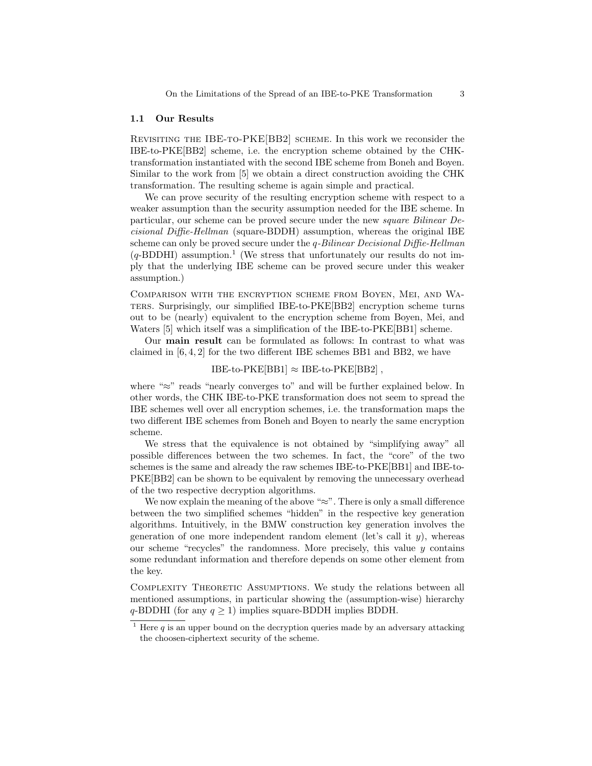# 1.1 Our Results

Revisiting the IBE-to-PKE[BB2] scheme. In this work we reconsider the IBE-to-PKE[BB2] scheme, i.e. the encryption scheme obtained by the CHKtransformation instantiated with the second IBE scheme from Boneh and Boyen. Similar to the work from [5] we obtain a direct construction avoiding the CHK transformation. The resulting scheme is again simple and practical.

We can prove security of the resulting encryption scheme with respect to a weaker assumption than the security assumption needed for the IBE scheme. In particular, our scheme can be proved secure under the new square Bilinear Decisional Diffie-Hellman (square-BDDH) assumption, whereas the original IBE scheme can only be proved secure under the  $q$ -Bilinear Decisional Diffie-Hellman  $(q$ -BDDHI) assumption.<sup>1</sup> (We stress that unfortunately our results do not imply that the underlying IBE scheme can be proved secure under this weaker assumption.)

Comparison with the encryption scheme from Boyen, Mei, and Waters. Surprisingly, our simplified IBE-to-PKE[BB2] encryption scheme turns out to be (nearly) equivalent to the encryption scheme from Boyen, Mei, and Waters [5] which itself was a simplification of the IBE-to-PKE[BB1] scheme.

Our main result can be formulated as follows: In contrast to what was claimed in  $[6, 4, 2]$  for the two different IBE schemes BB1 and BB2, we have

### $IBE-to-PKE[BB1] \approx IBE-to-PKE[BB2]$ .

where "≈" reads "nearly converges to" and will be further explained below. In other words, the CHK IBE-to-PKE transformation does not seem to spread the IBE schemes well over all encryption schemes, i.e. the transformation maps the two different IBE schemes from Boneh and Boyen to nearly the same encryption scheme.

We stress that the equivalence is not obtained by "simplifying away" all possible differences between the two schemes. In fact, the "core" of the two schemes is the same and already the raw schemes IBE-to-PKE[BB1] and IBE-to-PKE[BB2] can be shown to be equivalent by removing the unnecessary overhead of the two respective decryption algorithms.

We now explain the meaning of the above " $\approx$ ". There is only a small difference between the two simplified schemes "hidden" in the respective key generation algorithms. Intuitively, in the BMW construction key generation involves the generation of one more independent random element (let's call it  $y$ ), whereas our scheme "recycles" the randomness. More precisely, this value  $y$  contains some redundant information and therefore depends on some other element from the key.

COMPLEXITY THEORETIC ASSUMPTIONS. We study the relations between all mentioned assumptions, in particular showing the (assumption-wise) hierarchy q-BDDHI (for any  $q \ge 1$ ) implies square-BDDH implies BDDH.

<sup>&</sup>lt;sup>1</sup> Here  $q$  is an upper bound on the decryption queries made by an adversary attacking the choosen-ciphertext security of the scheme.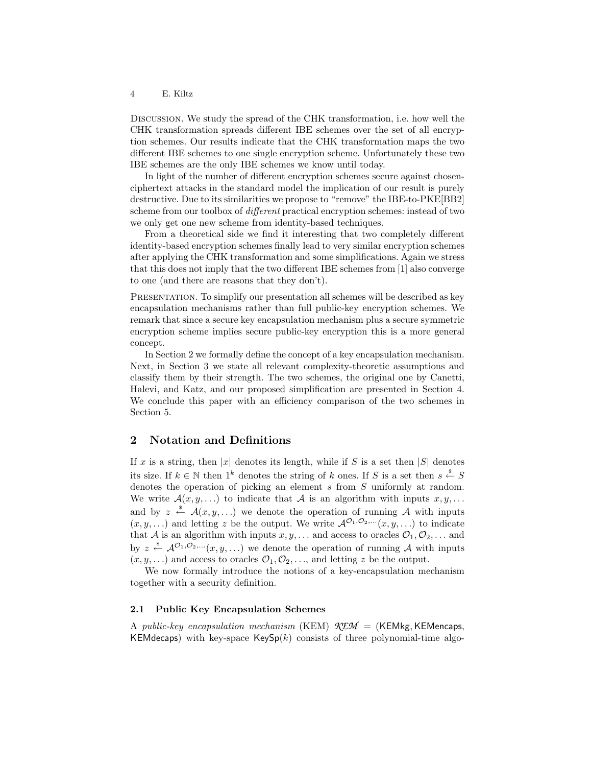Discussion. We study the spread of the CHK transformation, i.e. how well the CHK transformation spreads different IBE schemes over the set of all encryption schemes. Our results indicate that the CHK transformation maps the two different IBE schemes to one single encryption scheme. Unfortunately these two IBE schemes are the only IBE schemes we know until today.

In light of the number of different encryption schemes secure against chosenciphertext attacks in the standard model the implication of our result is purely destructive. Due to its similarities we propose to "remove" the IBE-to-PKE[BB2] scheme from our toolbox of *different* practical encryption schemes: instead of two we only get one new scheme from identity-based techniques.

From a theoretical side we find it interesting that two completely different identity-based encryption schemes finally lead to very similar encryption schemes after applying the CHK transformation and some simplifications. Again we stress that this does not imply that the two different IBE schemes from [1] also converge to one (and there are reasons that they don't).

Presentation. To simplify our presentation all schemes will be described as key encapsulation mechanisms rather than full public-key encryption schemes. We remark that since a secure key encapsulation mechanism plus a secure symmetric encryption scheme implies secure public-key encryption this is a more general concept.

In Section 2 we formally define the concept of a key encapsulation mechanism. Next, in Section 3 we state all relevant complexity-theoretic assumptions and classify them by their strength. The two schemes, the original one by Canetti, Halevi, and Katz, and our proposed simplification are presented in Section 4. We conclude this paper with an efficiency comparison of the two schemes in Section 5.

# 2 Notation and Definitions

If x is a string, then |x| denotes its length, while if S is a set then  $|S|$  denotes its size. If  $k \in \mathbb{N}$  then  $1^k$  denotes the string of k ones. If S is a set then  $s \stackrel{\$}{\leftarrow} S$ denotes the operation of picking an element s from S uniformly at random. We write  $\mathcal{A}(x, y, \ldots)$  to indicate that  $\mathcal A$  is an algorithm with inputs  $x, y, \ldots$ and by  $z \stackrel{\hspace{0.1em}\mathsf{\scriptscriptstyle\$}}{\leftarrow} \mathcal{A}(x,y,\ldots)$  we denote the operation of running  $\mathcal A$  with inputs  $(x, y, ...)$  and letting z be the output. We write  $\mathcal{A}^{\mathcal{O}_1, \mathcal{O}_2, ...}(x, y, ...)$  to indicate that A is an algorithm with inputs  $x, y, \ldots$  and access to oracles  $\mathcal{O}_1, \mathcal{O}_2, \ldots$  and by  $z \stackrel{\$}{\leftarrow} \mathcal{A}^{O_1, O_2, \dots}(x, y, \dots)$  we denote the operation of running A with inputs  $(x, y, \ldots)$  and access to oracles  $\mathcal{O}_1, \mathcal{O}_2, \ldots$ , and letting z be the output.

We now formally introduce the notions of a key-encapsulation mechanism together with a security definition.

#### 2.1 Public Key Encapsulation Schemes

A public-key encapsulation mechanism (KEM)  $\mathcal{KEM}$  = (KEMkg, KEMencaps, KEMdecaps) with key-space  $KeySp(k)$  consists of three polynomial-time algo-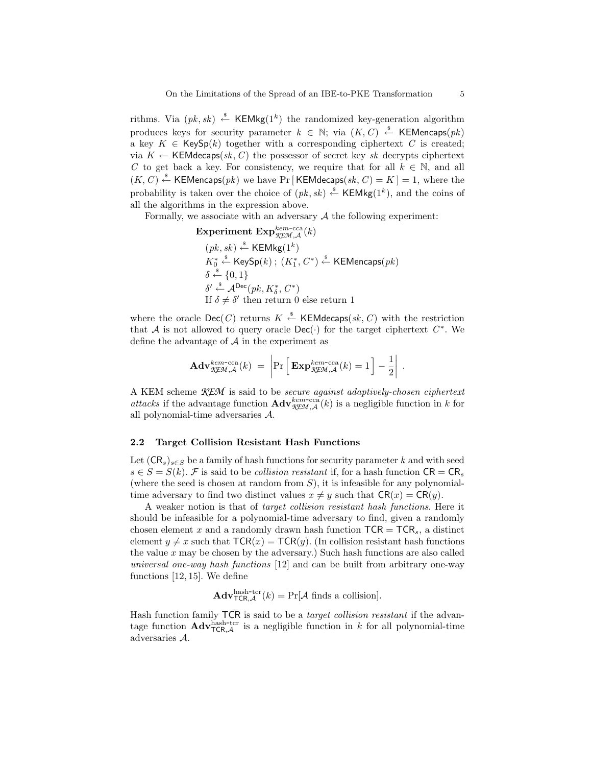rithms. Via  $(pk, sk) \stackrel{\$}{\leftarrow}$  KEMkg $(1^k)$  the randomized key-generation algorithm produces keys for security parameter  $k \in \mathbb{N}$ ; via  $(K, C) \stackrel{\hspace{0.1em}\mathsf{\scriptscriptstyle\$}}{\leftarrow}$  KEMencaps $(pk)$ a key  $K \in \text{KeySp}(k)$  together with a corresponding ciphertext C is created; via  $K \leftarrow$  KEMdecaps(sk, C) the possessor of secret key sk decrypts ciphertext C to get back a key. For consistency, we require that for all  $k \in \mathbb{N}$ , and all  $(K, C) \stackrel{\$}{\leftarrow}$  KEMencaps $(pk)$  we have Pr [KEMdecaps $(sk, C) = K$ ] = 1, where the probability is taken over the choice of  $(pk, sk) \stackrel{\$}{\leftarrow}$  KEMkg(1<sup>k</sup>), and the coins of all the algorithms in the expression above.

Formally, we associate with an adversary  $A$  the following experiment:

**Experiment Exp**<sub>*REM-A*</sub><sup>*kem-cca*</sup>
$$
(k)
$$
  
\n $(pk, sk) \stackrel{\text{\$}}{\leftarrow} \text{KEMkg}(1^k)$   
\n $K_0^* \stackrel{\text{\$}}{\leftarrow} \text{KeySp}(k); (K_1^*, C^*) \stackrel{\text{\$}}{\leftarrow} \text{KEMencaps}(pk)$   
\n $\delta \stackrel{\text{\$}}{\leftarrow} \{0, 1\}$   
\n $\delta' \stackrel{\text{\$}}{\leftarrow} \mathcal{A}^{\text{Dec}}(pk, K_{\delta}^*, C^*)$   
\nIf  $\delta \neq \delta'$  then return 0 else return 1

where the oracle  $\mathsf{Dec}(C)$  returns  $K \stackrel{\$}{\leftarrow} \mathsf{KEMdecaps}(sk, C)$  with the restriction that A is not allowed to query oracle Dec(.) for the target ciphertext  $C^*$ . We define the advantage of  $A$  in the experiment as

$$
\mathbf{Adv}_{\mathcal{REM},\mathcal{A}}^{kem-\text{cca}}(k) = \left| \Pr \left[ \mathbf{Exp}_{\mathcal{REM},\mathcal{A}}^{kem-\text{cca}}(k) = 1 \right] - \frac{1}{2} \right| \, .
$$

A KEM scheme *KEM* is said to be secure against adaptively-chosen ciphertext attacks if the advantage function  $\mathbf{Adv}_{\mathcal{REM},\mathcal{A}}^{kem-cca}(k)$  is a negligible function in k for all polynomial-time adversaries A.

### 2.2 Target Collision Resistant Hash Functions

Let  $(CR<sub>s</sub>)<sub>s\in S</sub>$  be a family of hash functions for security parameter k and with seed  $s \in S = S(k)$ . F is said to be *collision resistant* if, for a hash function  $CR = CR_s$ (where the seed is chosen at random from  $S$ ), it is infeasible for any polynomialtime adversary to find two distinct values  $x \neq y$  such that  $CR(x) = CR(y)$ .

A weaker notion is that of target collision resistant hash functions. Here it should be infeasible for a polynomial-time adversary to find, given a randomly chosen element x and a randomly drawn hash function  $TCR = TCR_s$ , a distinct element  $y \neq x$  such that  $TCR(x) = TCR(y)$ . (In collision resistant hash functions the value  $x$  may be chosen by the adversary.) Such hash functions are also called universal one-way hash functions [12] and can be built from arbitrary one-way functions [12, 15]. We define

$$
\mathbf{Adv}_{\mathsf{TCR},\mathcal{A}}^{\text{hash-tor}}(k) = \Pr[\mathcal{A} \text{ finds a collision}].
$$

Hash function family TCR is said to be a *target collision resistant* if the advantage function  $\text{Adv}_{\text{TCR},\mathcal{A}}^{\text{hash-tor}}$  is a negligible function in k for all polynomial-time adversaries A.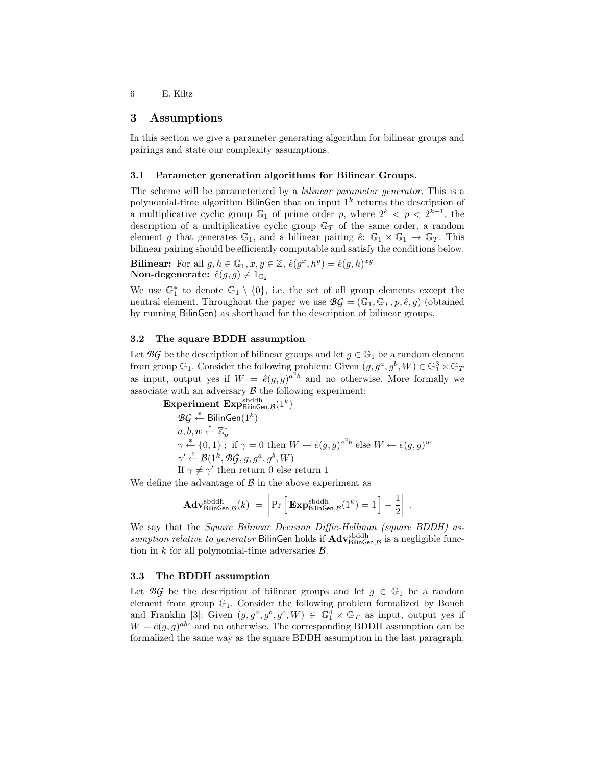# 3 Assumptions

In this section we give a parameter generating algorithm for bilinear groups and pairings and state our complexity assumptions.

### 3.1 Parameter generation algorithms for Bilinear Groups.

The scheme will be parameterized by a bilinear parameter generator. This is a polynomial-time algorithm BilinGen that on input  $1^k$  returns the description of a multiplicative cyclic group  $\mathbb{G}_1$  of prime order p, where  $2^k < p < 2^{k+1}$ , the description of a multiplicative cyclic group  $\mathbb{G}_T$  of the same order, a random element g that generates  $\mathbb{G}_1$ , and a bilinear pairing  $\hat{e}: \mathbb{G}_1 \times \mathbb{G}_1 \to \mathbb{G}_T$ . This bilinear pairing should be efficiently computable and satisfy the conditions below.

**Bilinear:** For all  $g, h \in \mathbb{G}_1, x, y \in \mathbb{Z}, \hat{e}(g^x, h^y) = \hat{e}(g, h)^{xy}$ Non-degenerate:  $\hat{e}(g, g) \neq 1_{\mathbb{G}_2}$ 

We use  $\mathbb{G}_1^*$  to denote  $\mathbb{G}_1 \setminus \{0\}$ , i.e. the set of all group elements except the neutral element. Throughout the paper we use  $\mathcal{B}G = (\mathbb{G}_1, \mathbb{G}_T, p, \hat{e}, g)$  (obtained by running BilinGen) as shorthand for the description of bilinear groups.

#### 3.2 The square BDDH assumption

Let  $\mathcal{B}G$  be the description of bilinear groups and let  $g \in \mathbb{G}_1$  be a random element from group  $\mathbb{G}_1$ . Consider the following problem: Given  $(g, g^a, g^b, W) \in \mathbb{G}_1^3 \times \mathbb{G}_T$ as input, output yes if  $W = \hat{e}(g,g)^{a^2b}$  and no otherwise. More formally we associate with an adversary  $\mathcal B$  the following experiment:

 ${\rm Experiment ~Exp}^{\rm sbddh}_{\rm BilinGen, \mathcal{B}}(1^k)$  $\mathcal{B}\mathcal{G} \overset{\hspace{0.1em}\mathsf{\scriptscriptstyle\$}}{\leftarrow} \mathsf{BilinGen}(1^k)$  $a, b, w \overset{\hspace{0.1em}\mathsf{\scriptscriptstyle\$}}{\leftarrow} \mathbb{Z}_p^*$  $\gamma \stackrel{\$}{\leftarrow} \{0,1\}$ ; if  $\gamma = 0$  then  $W \leftarrow \hat{e}(g,g)^{a^2b}$  else  $W \leftarrow \hat{e}(g,g)^w$  $\gamma' \overset{\hspace{0.1em}\mathsf{\scriptscriptstyle\$}}{\leftarrow} \mathcal{B}(1^k, \mathcal{B}\mathcal{G}, g, g^a, g^b, W)$ If  $\gamma \neq \gamma'$  then return 0 else return 1

We define the advantage of  $\beta$  in the above experiment as

$$
\mathbf{Adv}_{\text{BilinGen},\mathcal{B}}^{\text{sbddh}}(k) = \left| \Pr \left[ \mathbf{Exp}_{\text{BilinGen},\mathcal{B}}^{\text{sbddh}}(1^k) = 1 \right] - \frac{1}{2} \right| \, .
$$

We say that the Square Bilinear Decision Diffie-Hellman (square BDDH) assumption relative to generator BilinGen holds if  $\text{Adv}_{\text{BilinGen},\mathcal{B}}^{\text{sbddh}}$  is a negligible function in  $k$  for all polynomial-time adversaries  $\beta$ .

#### 3.3 The BDDH assumption

Let  $\mathcal{B}G$  be the description of bilinear groups and let  $g \in \mathbb{G}_1$  be a random element from group  $\mathbb{G}_1$ . Consider the following problem formalized by Boneh and Franklin [3]: Given  $(g, g^a, g^b, g^c, W) \in \mathbb{G}_1^4 \times \mathbb{G}_T$  as input, output yes if  $W = \hat{e}(g, g)^{abc}$  and no otherwise. The corresponding BDDH assumption can be formalized the same way as the square BDDH assumption in the last paragraph.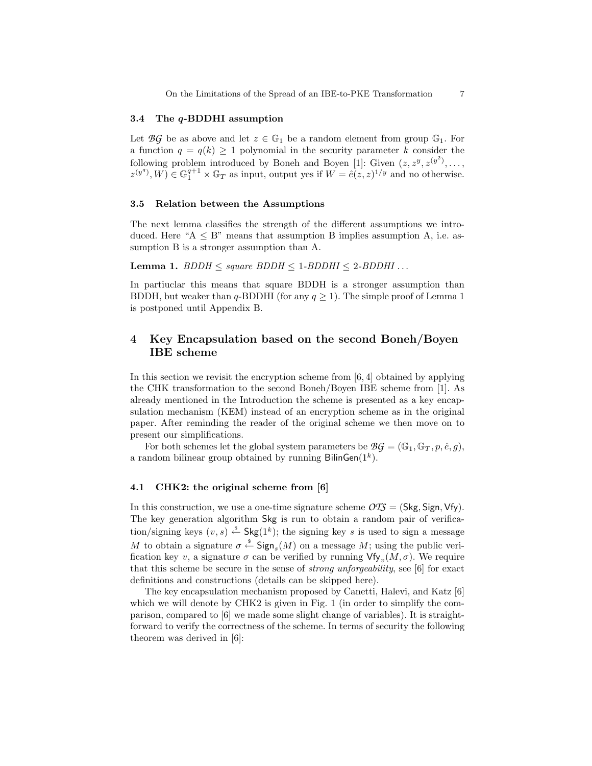#### 3.4 The q-BDDHI assumption

Let  $\mathcal{B}G$  be as above and let  $z \in \mathbb{G}_1$  be a random element from group  $\mathbb{G}_1$ . For a function  $q = q(k) \ge 1$  polynomial in the security parameter k consider the following problem introduced by Boneh and Boyen [1]: Given  $(z, z^y, z^{(y^2)}, \ldots, z^{(y^d)})$  $z^{(y^q)}, W$ )  $\in \mathbb{G}_1^{q+1} \times \mathbb{G}_T$  as input, output yes if  $W = \hat{e}(z, z)^{1/y}$  and no otherwise.

#### 3.5 Relation between the Assumptions

The next lemma classifies the strength of the different assumptions we introduced. Here " $A \leq B$ " means that assumption B implies assumption A, i.e. assumption B is a stronger assumption than A.

**Lemma 1.**  $BDDH \leq square$   $BDDH \leq 1-BDDHI \leq 2-BDDHI \ldots$ 

In partiuclar this means that square BDDH is a stronger assumption than BDDH, but weaker than q-BDDHI (for any  $q \ge 1$ ). The simple proof of Lemma 1 is postponed until Appendix B.

# 4 Key Encapsulation based on the second Boneh/Boyen IBE scheme

In this section we revisit the encryption scheme from [6, 4] obtained by applying the CHK transformation to the second Boneh/Boyen IBE scheme from [1]. As already mentioned in the Introduction the scheme is presented as a key encapsulation mechanism (KEM) instead of an encryption scheme as in the original paper. After reminding the reader of the original scheme we then move on to present our simplifications.

For both schemes let the global system parameters be  $\mathcal{B}G = (\mathbb{G}_1, \mathbb{G}_T, p, \hat{e}, g)$ , a random bilinear group obtained by running  $\mathsf{BilinGen}(1^k)$ .

#### 4.1 CHK2: the original scheme from [6]

In this construction, we use a one-time signature scheme  $OTS = (Skg, Sign, Vfy)$ . The key generation algorithm Skg is run to obtain a random pair of verification/signing keys  $(v, s) \stackrel{\$}{\leftarrow}$  Skg(1<sup>k</sup>); the signing key s is used to sign a message M to obtain a signature  $\sigma \stackrel{\$}{\leftarrow}$  Sign<sub>s</sub> $(M)$  on a message M; using the public verification key v, a signature  $\sigma$  can be verified by running  $\mathsf{Vfy}_{v}(M, \sigma)$ . We require that this scheme be secure in the sense of strong unforgeability, see [6] for exact definitions and constructions (details can be skipped here).

The key encapsulation mechanism proposed by Canetti, Halevi, and Katz [6] which we will denote by CHK2 is given in Fig. 1 (in order to simplify the comparison, compared to [6] we made some slight change of variables). It is straightforward to verify the correctness of the scheme. In terms of security the following theorem was derived in [6]: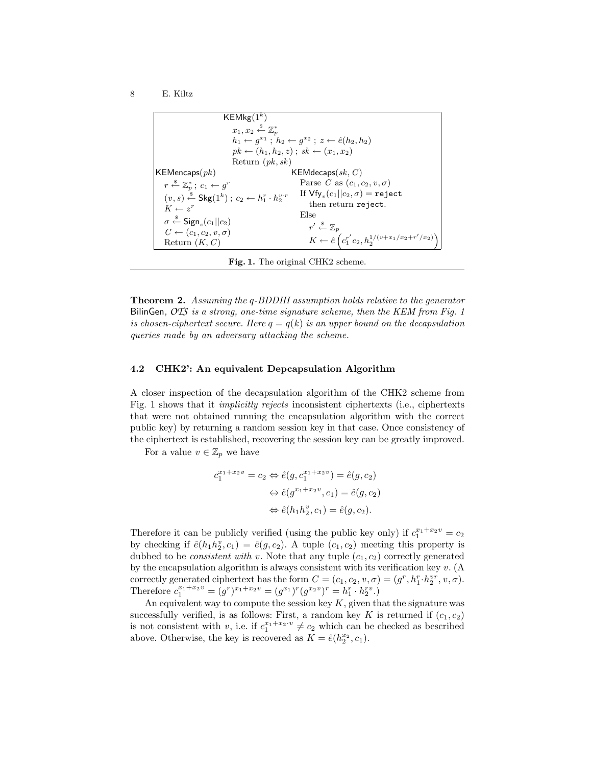| $KEMkg(1^k)$                                                                                  |                                                                            |  |  |
|-----------------------------------------------------------------------------------------------|----------------------------------------------------------------------------|--|--|
| $x_1, x_2 \stackrel{\$}{\leftarrow} \mathbb{Z}_n^*$                                           |                                                                            |  |  |
| $h_1 \leftarrow q^{x_1}$ ; $h_2 \leftarrow q^{x_2}$ ; $z \leftarrow \hat{e}(h_2, h_2)$        |                                                                            |  |  |
| $pk \leftarrow (h_1, h_2, z)$ ; $sk \leftarrow (x_1, x_2)$                                    |                                                                            |  |  |
| Return $(pk, sk)$                                                                             |                                                                            |  |  |
| $KEM$ encaps $(pk)$                                                                           | $KEM$ decaps $(sk, C)$                                                     |  |  |
| $r \stackrel{\$}{\leftarrow} \mathbb{Z}_p^*$ ; $c_1 \leftarrow g^r$                           | Parse C as $(c_1, c_2, v, \sigma)$                                         |  |  |
| $(v, s) \stackrel{\$}{\leftarrow}$ Skg $(1^k)$ ; $c_2 \leftarrow h_1^r \cdot h_2^{v \cdot r}$ | If $Vf_{y_n}(c_1  c_2, \sigma)$ = reject                                   |  |  |
| $K \leftarrow z^r$                                                                            | then return reject.                                                        |  |  |
| $\sigma \stackrel{\$}{\leftarrow}$ Sign <sub>s</sub> $(c_1  c_2)$                             | Else                                                                       |  |  |
|                                                                                               | $r' \overset{\$}{\leftarrow} \mathbb{Z}_n$                                 |  |  |
| $C \leftarrow (c_1, c_2, v, \sigma)$<br>Return $(K, C)$                                       | $K \leftarrow \hat{e}\left(c_1^{r'}c_2, h_2^{1/(v+x_1/x_2+r'/x_2)}\right)$ |  |  |

Fig. 1. The original CHK2 scheme.

Theorem 2. Assuming the q-BDDHI assumption holds relative to the generator BilinGen, *OTS* is a strong, one-time signature scheme, then the KEM from Fig. 1 is chosen-ciphertext secure. Here  $q = q(k)$  is an upper bound on the decapsulation queries made by an adversary attacking the scheme.

# 4.2 CHK2': An equivalent Depcapsulation Algorithm

A closer inspection of the decapsulation algorithm of the CHK2 scheme from Fig. 1 shows that it implicitly rejects inconsistent ciphertexts (i.e., ciphertexts that were not obtained running the encapsulation algorithm with the correct public key) by returning a random session key in that case. Once consistency of the ciphertext is established, recovering the session key can be greatly improved.

For a value  $v \in \mathbb{Z}_p$  we have

$$
c_1^{x_1+x_2v} = c_2 \Leftrightarrow \hat{e}(g, c_1^{x_1+x_2v}) = \hat{e}(g, c_2)
$$

$$
\Leftrightarrow \hat{e}(g^{x_1+x_2v}, c_1) = \hat{e}(g, c_2)
$$

$$
\Leftrightarrow \hat{e}(h_1h_2^v, c_1) = \hat{e}(g, c_2).
$$

Therefore it can be publicly verified (using the public key only) if  $c_1^{x_1+x_2v} = c_2$ by checking if  $\hat{e}(h_1h_2^v, c_1) = \hat{e}(g, c_2)$ . A tuple  $(c_1, c_2)$  meeting this property is dubbed to be *consistent with* v. Note that any tuple  $(c_1, c_2)$  correctly generated by the encapsulation algorithm is always consistent with its verification key  $v$ . (A correctly generated ciphertext has the form  $C = (c_1, c_2, v, \sigma) = (g^r, h_1^r \cdot h_2^{vr}, v, \sigma)$ . Therefore  $c_1^{x_1+x_2v} = (g^r)^{x_1+x_2v} = (g^{x_1})^r(g^{x_2v})^r = h_1^r \cdot h_2^{rv}$ .

An equivalent way to compute the session key  $K$ , given that the signature was successfully verified, is as follows: First, a random key K is returned if  $(c_1, c_2)$ is not consistent with v, i.e. if  $c_1^{x_1+x_2\cdot v} \neq c_2$  which can be checked as bescribed above. Otherwise, the key is recovered as  $K = \hat{e}(h_2^{x_2}, c_1)$ .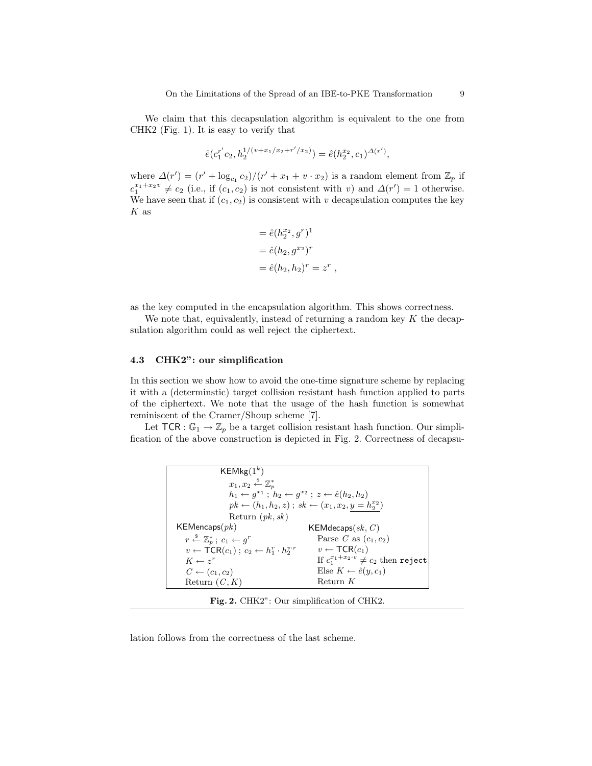We claim that this decapsulation algorithm is equivalent to the one from CHK2 (Fig. 1). It is easy to verify that

$$
\hat{e}(c_1^{r'}c_2,h_2^{1/(v+x_1/x_2+r'/x_2)})=\hat{e}(h_2^{x_2},c_1)^{\Delta(r')},
$$

where  $\Delta(r') = (r' + \log_{c_1} c_2)/(r' + x_1 + v \cdot x_2)$  is a random element from  $\mathbb{Z}_p$  if  $c_1^{x_1+x_2v} \neq c_2$  (i.e., if  $(c_1, c_2)$  is not consistent with v) and  $\Delta(r') = 1$  otherwise. We have seen that if  $(c_1, c_2)$  is consistent with v decapsulation computes the key  $K$  as

$$
= \hat{e}(h_2^{x_2}, g^r)^1
$$

$$
= \hat{e}(h_2, g^{x_2})^r
$$

$$
= \hat{e}(h_2, h_2)^r = z^r
$$

,

as the key computed in the encapsulation algorithm. This shows correctness.

We note that, equivalently, instead of returning a random key  $K$  the decapsulation algorithm could as well reject the ciphertext.

## 4.3 CHK2": our simplification

In this section we show how to avoid the one-time signature scheme by replacing it with a (determinstic) target collision resistant hash function applied to parts of the ciphertext. We note that the usage of the hash function is somewhat reminiscent of the Cramer/Shoup scheme [7].

Let  $TCR: \mathbb{G}_1 \to \mathbb{Z}_p$  be a target collision resistant hash function. Our simplification of the above construction is depicted in Fig. 2. Correctness of decapsu-

```
\mathsf{KEMkg}(1^k)\begin{array}{l} x_1, x_2 \stackrel{\hspace{0.1em}\mathsf{\scriptscriptstyle\$}}{\leftarrow} \mathbb{Z}_p^* \ h_1 \leftarrow g^{x_1}\;;\; h_2 \leftarrow g^{x_2}\;;\; z \leftarrow \hat{e}(h_2, h_2) \end{array}pk \leftarrow (h_1, h_2, z); sk \leftarrow (x_1, x_2, y = h_2^{x_2})Return (pk, sk)
KEMencaps(pk)r \stackrel{\$}{\leftarrow} \mathbb{Z}_p^* \, ; \, c_1 \leftarrow g^rv \leftarrow \text{TCR}(c_1); c_2 \leftarrow h_1^r \cdot h_2^{v \cdot r}<br>K \leftarrow z^rC \leftarrow (c_1, c_2)Return (C, K)KEM decaps(<i>sk</i>, C)Parse C as (c_1, c_2)v \leftarrow \mathsf{TCR}(c_1)If c_1^{x_1+x_2\cdot v}\neq c_2 then reject
                                                                                 Else K \leftarrow \hat{e}(y, c_1)Return K
```
Fig. 2. CHK2": Our simplification of CHK2.

lation follows from the correctness of the last scheme.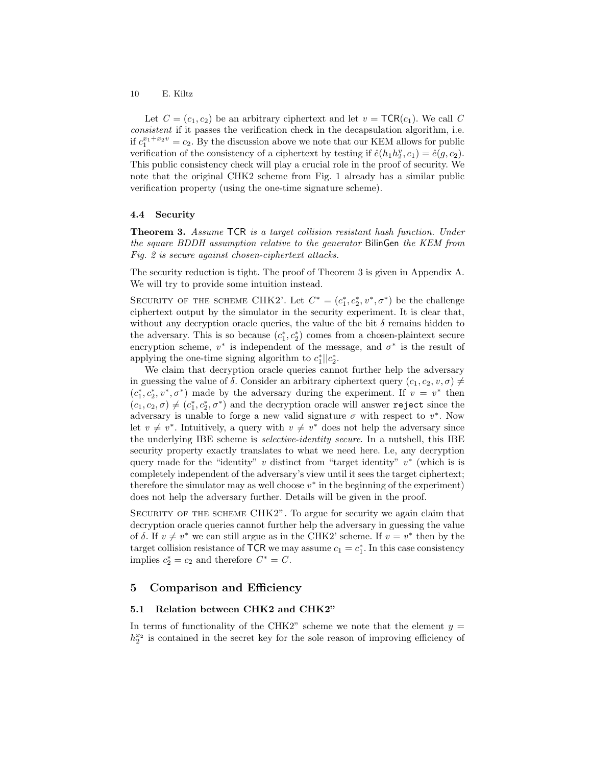Let  $C = (c_1, c_2)$  be an arbitrary ciphertext and let  $v = \textsf{TCR}(c_1)$ . We call C consistent if it passes the verification check in the decapsulation algorithm, i.e. if  $c_1^{x_1+x_2v} = c_2$ . By the discussion above we note that our KEM allows for public verification of the consistency of a ciphertext by testing if  $\hat{e}(h_1h_2^v, c_1) = \hat{e}(g, c_2)$ . This public consistency check will play a crucial role in the proof of security. We note that the original CHK2 scheme from Fig. 1 already has a similar public verification property (using the one-time signature scheme).

# 4.4 Security

Theorem 3. Assume TCR is a target collision resistant hash function. Under the square BDDH assumption relative to the generator BilinGen the KEM from Fig. 2 is secure against chosen-ciphertext attacks.

The security reduction is tight. The proof of Theorem 3 is given in Appendix A. We will try to provide some intuition instead.

SECURITY OF THE SCHEME CHK2'. Let  $C^* = (c_1^*, c_2^*, v^*, \sigma^*)$  be the challenge ciphertext output by the simulator in the security experiment. It is clear that, without any decryption oracle queries, the value of the bit  $\delta$  remains hidden to the adversary. This is so because  $(c_1^*, c_2^*)$  comes from a chosen-plaintext secure encryption scheme,  $v^*$  is independent of the message, and  $\sigma^*$  is the result of applying the one-time signing algorithm to  $c_1^*||c_2^*$ .

We claim that decryption oracle queries cannot further help the adversary in guessing the value of  $\delta$ . Consider an arbitrary ciphertext query  $(c_1, c_2, v, \sigma) \neq$  $(c_1^*, c_2^*, v^*, \sigma^*)$  made by the adversary during the experiment. If  $v = v^*$  then  $(c_1, c_2, \sigma) \neq (c_1^*, c_2^*, \sigma^*)$  and the decryption oracle will answer reject since the adversary is unable to forge a new valid signature  $\sigma$  with respect to  $v^*$ . Now let  $v \neq v^*$ . Intuitively, a query with  $v \neq v^*$  does not help the adversary since the underlying IBE scheme is selective-identity secure. In a nutshell, this IBE security property exactly translates to what we need here. I.e, any decryption query made for the "identity"  $v$  distinct from "target identity"  $v^*$  (which is is completely independent of the adversary's view until it sees the target ciphertext; therefore the simulator may as well choose  $v^*$  in the beginning of the experiment) does not help the adversary further. Details will be given in the proof.

SECURITY OF THE SCHEME CHK2". To argue for security we again claim that decryption oracle queries cannot further help the adversary in guessing the value of  $\delta$ . If  $v \neq v^*$  we can still argue as in the CHK2' scheme. If  $v = v^*$  then by the target collision resistance of TCR we may assume  $c_1 = c_1^*$ . In this case consistency implies  $c_2^* = c_2$  and therefore  $C^* = C$ .

# 5 Comparison and Efficiency

### 5.1 Relation between CHK2 and CHK2"

In terms of functionality of the CHK2" scheme we note that the element  $y =$  $h_2^{x_2}$  is contained in the secret key for the sole reason of improving efficiency of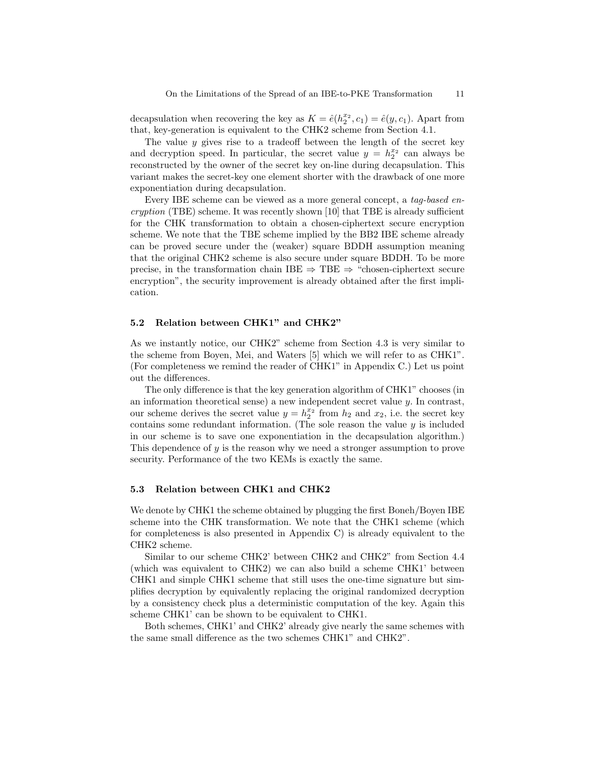decapsulation when recovering the key as  $K = \hat{e}(h_2^{x_2}, c_1) = \hat{e}(y, c_1)$ . Apart from that, key-generation is equivalent to the CHK2 scheme from Section 4.1.

The value  $y$  gives rise to a tradeoff between the length of the secret key and decryption speed. In particular, the secret value  $y = h_2^{x_2}$  can always be reconstructed by the owner of the secret key on-line during decapsulation. This variant makes the secret-key one element shorter with the drawback of one more exponentiation during decapsulation.

Every IBE scheme can be viewed as a more general concept, a tag-based encryption (TBE) scheme. It was recently shown [10] that TBE is already sufficient for the CHK transformation to obtain a chosen-ciphertext secure encryption scheme. We note that the TBE scheme implied by the BB2 IBE scheme already can be proved secure under the (weaker) square BDDH assumption meaning that the original CHK2 scheme is also secure under square BDDH. To be more precise, in the transformation chain IBE  $\Rightarrow$  TBE  $\Rightarrow$  "chosen-ciphertext secure encryption", the security improvement is already obtained after the first implication.

### 5.2 Relation between CHK1" and CHK2"

As we instantly notice, our CHK2" scheme from Section 4.3 is very similar to the scheme from Boyen, Mei, and Waters [5] which we will refer to as CHK1". (For completeness we remind the reader of CHK1" in Appendix C.) Let us point out the differences.

The only difference is that the key generation algorithm of CHK1" chooses (in an information theoretical sense) a new independent secret value y. In contrast, our scheme derives the secret value  $y = h_2^{x_2}$  from  $h_2$  and  $x_2$ , i.e. the secret key contains some redundant information. (The sole reason the value  $y$  is included in our scheme is to save one exponentiation in the decapsulation algorithm.) This dependence of  $y$  is the reason why we need a stronger assumption to prove security. Performance of the two KEMs is exactly the same.

### 5.3 Relation between CHK1 and CHK2

We denote by CHK1 the scheme obtained by plugging the first Boneh/Boyen IBE scheme into the CHK transformation. We note that the CHK1 scheme (which for completeness is also presented in Appendix C) is already equivalent to the CHK2 scheme.

Similar to our scheme CHK2' between CHK2 and CHK2" from Section 4.4 (which was equivalent to CHK2) we can also build a scheme CHK1' between CHK1 and simple CHK1 scheme that still uses the one-time signature but simplifies decryption by equivalently replacing the original randomized decryption by a consistency check plus a deterministic computation of the key. Again this scheme CHK1' can be shown to be equivalent to CHK1.

Both schemes, CHK1' and CHK2' already give nearly the same schemes with the same small difference as the two schemes CHK1" and CHK2".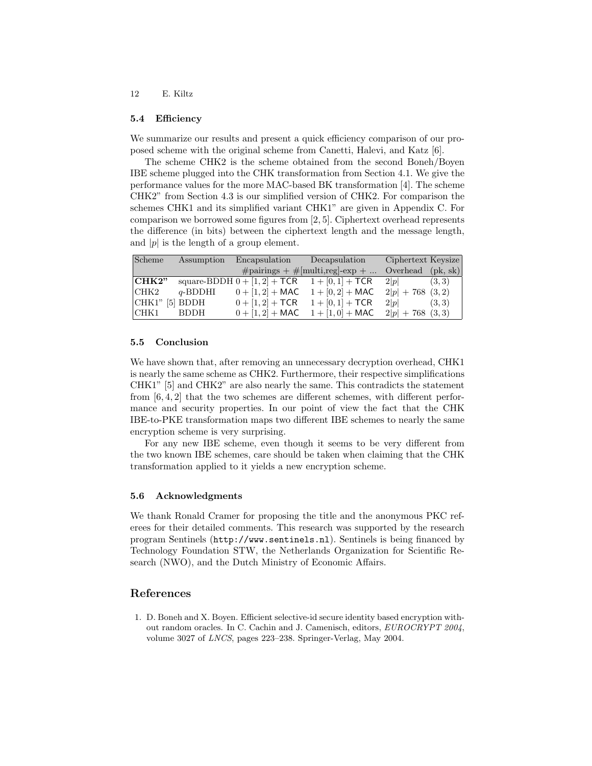#### 5.4 Efficiency

We summarize our results and present a quick efficiency comparison of our proposed scheme with the original scheme from Canetti, Halevi, and Katz [6].

The scheme CHK2 is the scheme obtained from the second Boneh/Boyen IBE scheme plugged into the CHK transformation from Section 4.1. We give the performance values for the more MAC-based BK transformation [4]. The scheme CHK2" from Section 4.3 is our simplified version of CHK2. For comparison the schemes CHK1 and its simplified variant CHK1" are given in Appendix C. For comparison we borrowed some figures from [2, 5]. Ciphertext overhead represents the difference (in bits) between the ciphertext length and the message length, and  $|p|$  is the length of a group element.

| Scheme         | Assumption  | Encapsulation                                     | Decapsulation                                          | Ciphertext Keysize                |       |
|----------------|-------------|---------------------------------------------------|--------------------------------------------------------|-----------------------------------|-------|
|                |             |                                                   | $\# \text{pairings} + \# \text{[multi,reg]} - \exp + $ | Overhead $(\text{pk}, \text{sk})$ |       |
| $\rm  CHK2"$   |             | square-BDDH $0 + [1, 2] + TCR$ $1 + [0, 1] + TCR$ |                                                        | 2 p                               | (3,3) |
| CHK2           | $q$ -BDDHI  | $0 + [1, 2] + MAC$                                | $1 + [0, 2] + \text{MAC}$                              | $2 p  + 768$ (3, 2)               |       |
| CHK1" [5] BDDH |             | $0 + [1, 2] + TCR$ $1 + [0, 1] + TCR$             |                                                        | 2 p                               | (3,3) |
| CHK1           | <b>BDDH</b> | $0 + [1, 2] + MAC$                                | $1 + [1, 0] + \text{MAC}$                              | $2 p  + 768$ (3, 3)               |       |

## 5.5 Conclusion

We have shown that, after removing an unnecessary decryption overhead, CHK1 is nearly the same scheme as CHK2. Furthermore, their respective simplifications CHK1" [5] and CHK2" are also nearly the same. This contradicts the statement from [6, 4, 2] that the two schemes are different schemes, with different performance and security properties. In our point of view the fact that the CHK IBE-to-PKE transformation maps two different IBE schemes to nearly the same encryption scheme is very surprising.

For any new IBE scheme, even though it seems to be very different from the two known IBE schemes, care should be taken when claiming that the CHK transformation applied to it yields a new encryption scheme.

#### 5.6 Acknowledgments

We thank Ronald Cramer for proposing the title and the anonymous PKC referees for their detailed comments. This research was supported by the research program Sentinels (http://www.sentinels.nl). Sentinels is being financed by Technology Foundation STW, the Netherlands Organization for Scientific Research (NWO), and the Dutch Ministry of Economic Affairs.

# References

1. D. Boneh and X. Boyen. Efficient selective-id secure identity based encryption without random oracles. In C. Cachin and J. Camenisch, editors, EUROCRYPT 2004, volume 3027 of LNCS, pages 223–238. Springer-Verlag, May 2004.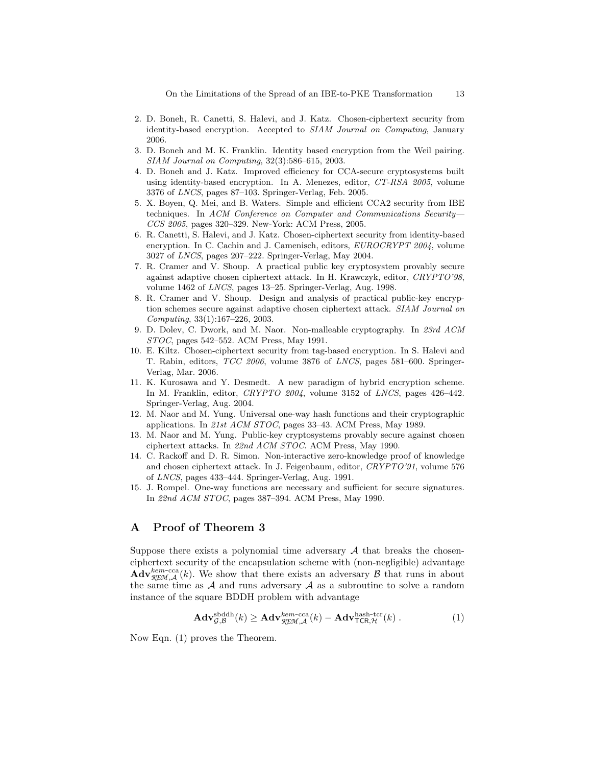On the Limitations of the Spread of an IBE-to-PKE Transformation 13

- 2. D. Boneh, R. Canetti, S. Halevi, and J. Katz. Chosen-ciphertext security from identity-based encryption. Accepted to SIAM Journal on Computing, January 2006.
- 3. D. Boneh and M. K. Franklin. Identity based encryption from the Weil pairing. SIAM Journal on Computing, 32(3):586–615, 2003.
- 4. D. Boneh and J. Katz. Improved efficiency for CCA-secure cryptosystems built using identity-based encryption. In A. Menezes, editor, CT-RSA 2005, volume 3376 of LNCS, pages 87–103. Springer-Verlag, Feb. 2005.
- 5. X. Boyen, Q. Mei, and B. Waters. Simple and efficient CCA2 security from IBE techniques. In ACM Conference on Computer and Communications Security— CCS 2005, pages 320–329. New-York: ACM Press, 2005.
- 6. R. Canetti, S. Halevi, and J. Katz. Chosen-ciphertext security from identity-based encryption. In C. Cachin and J. Camenisch, editors, EUROCRYPT 2004, volume 3027 of LNCS, pages 207–222. Springer-Verlag, May 2004.
- 7. R. Cramer and V. Shoup. A practical public key cryptosystem provably secure against adaptive chosen ciphertext attack. In H. Krawczyk, editor, CRYPTO'98, volume 1462 of LNCS, pages 13–25. Springer-Verlag, Aug. 1998.
- 8. R. Cramer and V. Shoup. Design and analysis of practical public-key encryption schemes secure against adaptive chosen ciphertext attack. SIAM Journal on Computing, 33(1):167–226, 2003.
- 9. D. Dolev, C. Dwork, and M. Naor. Non-malleable cryptography. In 23rd ACM STOC, pages 542–552. ACM Press, May 1991.
- 10. E. Kiltz. Chosen-ciphertext security from tag-based encryption. In S. Halevi and T. Rabin, editors, TCC 2006, volume 3876 of LNCS, pages 581–600. Springer-Verlag, Mar. 2006.
- 11. K. Kurosawa and Y. Desmedt. A new paradigm of hybrid encryption scheme. In M. Franklin, editor, CRYPTO 2004, volume 3152 of LNCS, pages 426–442. Springer-Verlag, Aug. 2004.
- 12. M. Naor and M. Yung. Universal one-way hash functions and their cryptographic applications. In 21st ACM STOC, pages 33–43. ACM Press, May 1989.
- 13. M. Naor and M. Yung. Public-key cryptosystems provably secure against chosen ciphertext attacks. In 22nd ACM STOC. ACM Press, May 1990.
- 14. C. Rackoff and D. R. Simon. Non-interactive zero-knowledge proof of knowledge and chosen ciphertext attack. In J. Feigenbaum, editor, CRYPTO'91, volume 576 of LNCS, pages 433–444. Springer-Verlag, Aug. 1991.
- 15. J. Rompel. One-way functions are necessary and sufficient for secure signatures. In 22nd ACM STOC, pages 387–394. ACM Press, May 1990.

# A Proof of Theorem 3

Suppose there exists a polynomial time adversary  $A$  that breaks the chosenciphertext security of the encapsulation scheme with (non-negligible) advantage  $\mathbf{Adv}_{\mathcal{REM},\mathcal{A}}^{kem\text{-}cca}(k)$ . We show that there exists an adversary  $\mathcal{B}$  that runs in about the same time as  $A$  and runs adversary  $A$  as a subroutine to solve a random instance of the square BDDH problem with advantage

$$
\mathbf{Adv}_{\mathcal{G},\mathcal{B}}^{\mathrm{sbddh}}(k) \ge \mathbf{Adv}_{\mathcal{K}\mathcal{M},\mathcal{A}}^{\mathrm{kem-cca}}(k) - \mathbf{Adv}_{\mathsf{TCR},\mathcal{H}}^{\mathrm{hash-ter}}(k) . \tag{1}
$$

Now Eqn. (1) proves the Theorem.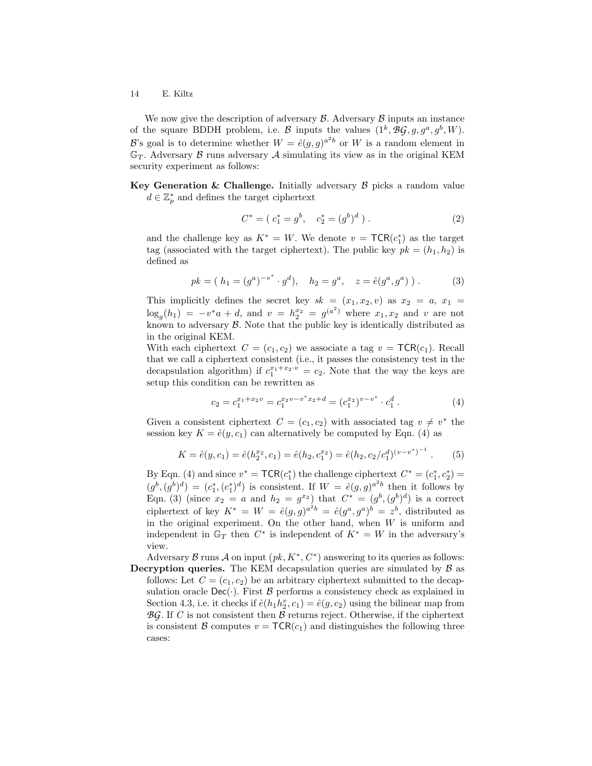We now give the description of adversary  $\beta$ . Adversary  $\beta$  inputs an instance of the square BDDH problem, i.e.  $\mathcal{B}$  inputs the values  $(1^k, \mathcal{B}\mathcal{G}, g, g^a, g^b, W)$ . B's goal is to determine whether  $W = \hat{e}(g,g)^{a^2b}$  or W is a random element in  $\mathbb{G}_T$ . Adversary  $\beta$  runs adversary  $\mathcal A$  simulating its view as in the original KEM security experiment as follows:

Key Generation & Challenge. Initially adversary  $\beta$  picks a random value  $d \in \mathbb{Z}_p^*$  and defines the target ciphertext

$$
C^* = (c_1^* = g^b, \quad c_2^* = (g^b)^d). \tag{2}
$$

and the challenge key as  $K^* = W$ . We denote  $v = \text{TCR}(c_1^*)$  as the target tag (associated with the target ciphertext). The public key  $pk = (h_1, h_2)$  is defined as

$$
pk = (h_1 = (g^a)^{-v^*} \cdot g^d), \quad h_2 = g^a, \quad z = \hat{e}(g^a, g^a) ).
$$
 (3)

This implicitly defines the secret key  $sk = (x_1, x_2, v)$  as  $x_2 = a, x_1 =$  $\log_g(h_1) = -v^*a + d$ , and  $v = h_2^{x_2} = g^{(a^2)}$  where  $x_1, x_2$  and v are not known to adversary  $\beta$ . Note that the public key is identically distributed as in the original KEM.

With each ciphertext  $C = (c_1, c_2)$  we associate a tag  $v = \text{TCR}(c_1)$ . Recall that we call a ciphertext consistent (i.e., it passes the consistency test in the decapsulation algorithm) if  $c_1^{x_1+x_2\cdot v} = c_2$ . Note that the way the keys are setup this condition can be rewritten as

$$
c_2 = c_1^{x_1 + x_2 v} = c_1^{x_2 v - v^* x_2 + d} = (c_1^{x_2})^{v - v^*} \cdot c_1^d.
$$
 (4)

Given a consistent ciphertext  $C = (c_1, c_2)$  with associated tag  $v \neq v^*$  the session key  $K = \hat{e}(y, c_1)$  can alternatively be computed by Eqn. (4) as

$$
K = \hat{e}(y, c_1) = \hat{e}(h_2^{x_2}, c_1) = \hat{e}(h_2, c_1^{x_2}) = \hat{e}(h_2, c_2/c_1^d)^{(v-v^*)^{-1}}.
$$
 (5)

By Eqn. (4) and since  $v^* = \textsf{TCR}(c_1^*)$  the challenge ciphertext  $C^* = (c_1^*, c_2^*) =$  $(g^b, (g^b)^d) = (c_1^*, (c_1^*)^d)$  is consistent. If  $W = \hat{e}(g, g)^{a^2b}$  then it follows by Eqn. (3) (since  $x_2 = a$  and  $h_2 = g^{x_2}$ ) that  $C^* = (g^b, (g^b)^d)$  is a correct ciphertext of key  $K^* = W = \hat{e}(g, g)^{a^2b} = \hat{e}(g^a, g^a)^b = z^b$ , distributed as in the original experiment. On the other hand, when  $W$  is uniform and independent in  $\mathbb{G}_T$  then  $C^*$  is independent of  $K^* = W$  in the adversary's view.

Adversary  $\mathcal B$  runs  $\mathcal A$  on input  $(pk, K^*, C^*)$  answering to its queries as follows: **Decryption queries.** The KEM decapsulation queries are simulated by  $\beta$  as follows: Let  $C = (c_1, c_2)$  be an arbitrary ciphertext submitted to the decapsulation oracle  $\text{Dec}(\cdot)$ . First B performs a consistency check as explained in Section 4.3, i.e. it checks if  $\hat{e}(h_1 h_2^v, c_1) = \hat{e}(g, c_2)$  using the bilinear map from  $\mathcal{B}G$ . If C is not consistent then  $\mathcal{B}$  returns reject. Otherwise, if the ciphertext is consistent B computes  $v = TCR(c_1)$  and distinguishes the following three cases: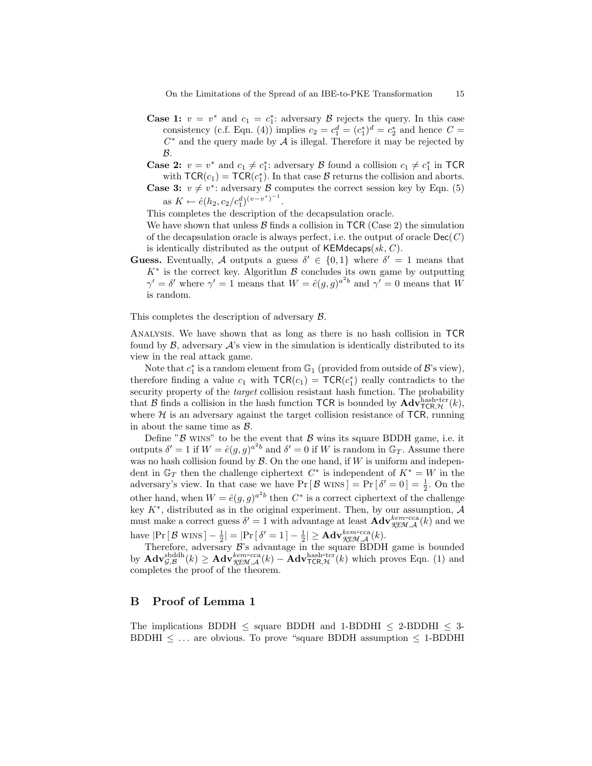- **Case 1:**  $v = v^*$  and  $c_1 = c_1^*$ : adversary  $\beta$  rejects the query. In this case consistency (c.f. Eqn. (4)) implies  $c_2 = c_1^d = (c_1^*)^d = c_2^*$  and hence  $C =$  $C^*$  and the query made by  $\mathcal A$  is illegal. Therefore it may be rejected by  $\mathcal{B}$ .
- **Case 2:**  $v = v^*$  and  $c_1 \neq c_1^*$ : adversary  $\beta$  found a collision  $c_1 \neq c_1^*$  in TCR with  $TCR(c_1) = TCR(c_1^*)$ . In that case  $\mathcal{B}$  returns the collision and aborts.
- **Case 3:**  $v \neq v^*$ : adversary  $\beta$  computes the correct session key by Eqn. (5) as  $K \leftarrow \hat{e}(h_2, c_2/c_1^d)^{(v-v^*)^{-1}}$ .

This completes the description of the decapsulation oracle.

We have shown that unless  $\beta$  finds a collision in TCR (Case 2) the simulation of the decapsulation oracle is always perfect, i.e. the output of oracle  $\text{Dec}(C)$ is identically distributed as the output of  $KEMdecaps(sk, C)$ .

Guess. Eventually, A outputs a guess  $\delta' \in \{0,1\}$  where  $\delta' = 1$  means that  $K^*$  is the correct key. Algorithm  $\beta$  concludes its own game by outputting  $\gamma' = \delta'$  where  $\gamma' = 1$  means that  $W = \hat{e}(g, g)^{a^2 b}$  and  $\gamma' = 0$  means that W is random.

This completes the description of adversary  $\beta$ .

Analysis. We have shown that as long as there is no hash collision in TCR found by  $\beta$ , adversary  $\mathcal{A}$ 's view in the simulation is identically distributed to its view in the real attack game.

Note that  $c_1^*$  is a random element from  $\mathbb{G}_1$  (provided from outside of  $\mathcal{B}$ 's view), therefore finding a value  $c_1$  with  $TCR(c_1) = TCR(c_1^*)$  really contradicts to the security property of the target collision resistant hash function. The probability that B finds a collision in the hash function TCR is bounded by  $\mathbf{Adv}_{\mathsf{TCR},\mathcal{H}}^{\text{hash-ter}}(k)$ , where  $H$  is an adversary against the target collision resistance of TCR, running in about the same time as  $\beta$ .

Define " $\beta$  WINS" to be the event that  $\beta$  wins its square BDDH game, i.e. it outputs  $\delta' = 1$  if  $W = \hat{e}(g, g)^{a^2 b}$  and  $\delta' = 0$  if W is random in  $\mathbb{G}_T$ . Assume there was no hash collision found by  $\mathcal{B}$ . On the one hand, if  $W$  is uniform and independent in  $\mathbb{G}_T$  then the challenge ciphertext  $C^*$  is independent of  $K^* = W$  in the adversary's view. In that case we have  $Pr[\mathcal{B}$  wins  $] = Pr[\delta' = 0] = \frac{1}{2}$ . On the other hand, when  $W = \hat{e}(g, g)^{a^2 b}$  then  $C^*$  is a correct ciphertext of the challenge key  $K^*$ , distributed as in the original experiment. Then, by our assumption,  $A$ must make a correct guess  $\delta' = 1$  with advantage at least  $\mathbf{Adv}_{\mathcal{R}\mathcal{M},\mathcal{A}}^{kem-cca}(k)$  and we have  $|\Pr[\mathcal{B} \text{ wins}] - \frac{1}{2}| = |\Pr[\delta' = 1] - \frac{1}{2}| \geq \mathbf{Adv}_{\mathcal{R}\in\mathcal{M},\mathcal{A}}^{kem-\text{cca}}(k).$ 

Therefore, adversary  $\mathcal{B}'$ 's advantage in the square BDDH game is bounded by  $\mathbf{Adv}_{\mathcal{G},\mathcal{B}}^{\text{sbddh}}(k) \ge \mathbf{Adv}_{\mathcal{REM},\mathcal{A}}^{\text{kem-cca}}(k) - \mathbf{Adv}_{\mathsf{TCR},\mathcal{H}}^{\text{hash-ter}}(k)$  which proves Eqn. (1) and completes the proof of the theorem.

# B Proof of Lemma 1

The implications BDDH  $\leq$  square BDDH and 1-BDDHI  $\leq$  2-BDDHI  $\leq$  3-BDDHI  $\leq \ldots$  are obvious. To prove "square BDDH assumption  $\leq$  1-BDDHI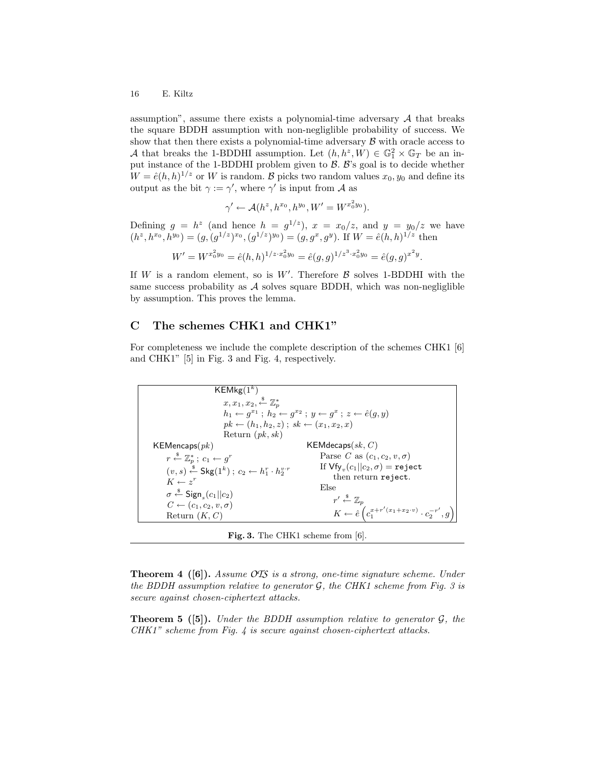assumption", assume there exists a polynomial-time adversary  $A$  that breaks the square BDDH assumption with non-negliglible probability of success. We show that then there exists a polynomial-time adversary  $\beta$  with oracle access to A that breaks the 1-BDDHI assumption. Let  $(h, h^z, W) \in \mathbb{G}_1^2 \times \mathbb{G}_T$  be an input instance of the 1-BDDHI problem given to  $\beta$ .  $\beta$ 's goal is to decide whether  $W = \hat{e}(h, h)^{1/z}$  or W is random. B picks two random values  $x_0, y_0$  and define its output as the bit  $\gamma := \gamma'$ , where  $\gamma'$  is input from A as

$$
\gamma' \leftarrow \mathcal{A}(h^z, h^{x_0}, h^{y_0}, W' = W^{x_0^2 y_0}).
$$

Defining  $g = h^z$  (and hence  $h = g^{1/z}$ ),  $x = x_0/z$ , and  $y = y_0/z$  we have  $(h^z, h^{x_0}, h^{y_0}) = (g, (g^{1/z})^{x_0}, (g^{1/z})^{y_0}) = (g, g^x, g^y)$ . If  $W = \hat{e}(h, h)^{1/z}$  then

$$
W' = W^{x_0^2 y_0} = \hat{e}(h, h)^{1/z \cdot x_0^2 y_0} = \hat{e}(g, g)^{1/z^3 \cdot x_0^2 y_0} = \hat{e}(g, g)^{x^2 y}
$$

.

If W is a random element, so is W'. Therefore  $\beta$  solves 1-BDDHI with the same success probability as  $A$  solves square BDDH, which was non-negliglible by assumption. This proves the lemma.

# C The schemes CHK1 and CHK1"

For completeness we include the complete description of the schemes CHK1 [6] and CHK1" [5] in Fig. 3 and Fig. 4, respectively.

| KEMkg $(\overline{1^k})$                                                                                |                                                                                  |  |  |
|---------------------------------------------------------------------------------------------------------|----------------------------------------------------------------------------------|--|--|
| $x, x_1, x_2 \xleftarrow{\$} \mathbb{Z}_n^*$                                                            |                                                                                  |  |  |
| $h_1 \leftarrow q^{x_1}$ ; $h_2 \leftarrow q^{x_2}$ ; $y \leftarrow q^x$ ; $z \leftarrow \hat{e}(q, y)$ |                                                                                  |  |  |
| $pk \leftarrow (h_1, h_2, z); sk \leftarrow (x_1, x_2, x)$                                              |                                                                                  |  |  |
| Return $(pk, sk)$                                                                                       |                                                                                  |  |  |
| $KEM$ encaps $(\,pk)$                                                                                   | $KEM$ decaps $(sk, C)$                                                           |  |  |
| $r \stackrel{\$}{\leftarrow} \mathbb{Z}_p^*$ ; $c_1 \leftarrow g^r$                                     | Parse C as $(c_1, c_2, v, \sigma)$                                               |  |  |
| $(v, s) \stackrel{\$}{\leftarrow}$ Skg $(1^k)$ ; $c_2 \leftarrow h_1^r \cdot h_2^{v \cdot r}$           | If $Vf_{\mathsf{V}_n}(c_1  c_2,\sigma)$ = reject                                 |  |  |
| $K \leftarrow z^r$                                                                                      | then return reject.                                                              |  |  |
| $\sigma \stackrel{\$}{\leftarrow}$ Sign <sub>s</sub> $(c_1  c_2)$                                       | Else                                                                             |  |  |
| $C \leftarrow (c_1, c_2, v, \sigma)$                                                                    | $r' \overset{\$}{\leftarrow} \mathbb{Z}_n$                                       |  |  |
| Return $(K, C)$                                                                                         | $K \leftarrow \hat{e}\left(c_1^{x+r'(x_1+x_2\cdot v)} \cdot c_2^{-r'}, g\right)$ |  |  |
|                                                                                                         |                                                                                  |  |  |

Fig. 3. The CHK1 scheme from [6].

Theorem 4 ([6]). Assume *OTS* is a strong, one-time signature scheme. Under the BDDH assumption relative to generator  $G$ , the CHK1 scheme from Fig. 3 is secure against chosen-ciphertext attacks.

**Theorem 5** ([5]). Under the BDDH assumption relative to generator  $\mathcal{G}$ , the CHK1" scheme from Fig. 4 is secure against chosen-ciphertext attacks.